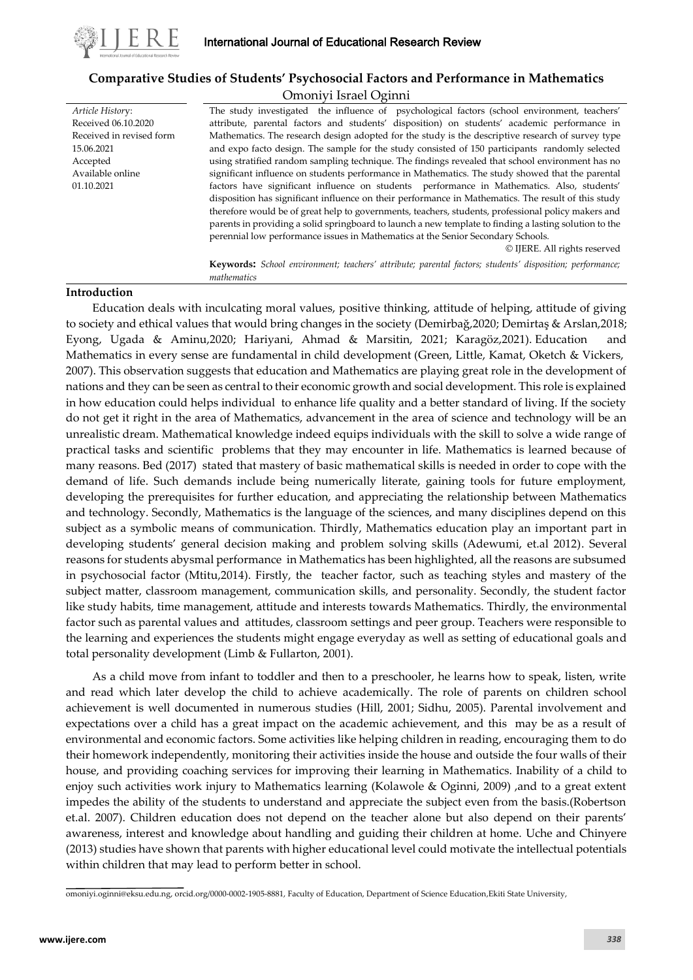

*Article Histor*y: Received 06.10.2020 Received in revised form

15.06.2021 Accepted Available online 01.10.2021

# **Comparative Studies of Students' Psychosocial Factors and Performance in Mathematics**

### Omoniyi Israel Oginni

The study investigated the influence of psychological factors (school environment, teachers' attribute, parental factors and students' disposition) on students' academic performance in Mathematics. The research design adopted for the study is the descriptive research of survey type and expo facto design. The sample for the study consisted of 150 participants randomly selected using stratified random sampling technique. The findings revealed that school environment has no significant influence on students performance in Mathematics. The study showed that the parental factors have significant influence on students performance in Mathematics. Also, students' disposition has significant influence on their performance in Mathematics. The result of this study therefore would be of great help to governments, teachers, students, professional policy makers and parents in providing a solid springboard to launch a new template to finding a lasting solution to the perennial low performance issues in Mathematics at the Senior Secondary Schools.

© IJERE. All rights reserved

**Keywords:** *School environment; teachers' attribute; parental factors; students' disposition; performance; mathematics*

### **Introduction**

Education deals with inculcating moral values, positive thinking, attitude of helping, attitude of giving to society and ethical values that would bring changes in the society (Demirbağ,2020; Demirtaş & Arslan,2018; Eyong, Ugada & Aminu,2020; Hariyani, Ahmad & Marsitin, 2021; Karagöz,2021). Education and Mathematics in every sense are fundamental in child development (Green, Little, Kamat, Oketch & Vickers, 2007). This observation suggests that education and Mathematics are playing great role in the development of nations and they can be seen as central to their economic growth and social development. This role is explained in how education could helps individual to enhance life quality and a better standard of living. If the society do not get it right in the area of Mathematics, advancement in the area of science and technology will be an unrealistic dream. Mathematical knowledge indeed equips individuals with the skill to solve a wide range of practical tasks and scientific problems that they may encounter in life. Mathematics is learned because of many reasons. Bed (2017) stated that mastery of basic mathematical skills is needed in order to cope with the demand of life. Such demands include being numerically literate, gaining tools for future employment, developing the prerequisites for further education, and appreciating the relationship between Mathematics and technology. Secondly, Mathematics is the language of the sciences, and many disciplines depend on this subject as a symbolic means of communication. Thirdly, Mathematics education play an important part in developing students' general decision making and problem solving skills (Adewumi, et.al 2012). Several reasons for students abysmal performance in Mathematics has been highlighted, all the reasons are subsumed in psychosocial factor (Mtitu,2014). Firstly, the teacher factor, such as teaching styles and mastery of the subject matter, classroom management, communication skills, and personality. Secondly, the student factor like study habits, time management, attitude and interests towards Mathematics. Thirdly, the environmental factor such as parental values and attitudes, classroom settings and peer group. Teachers were responsible to the learning and experiences the students might engage everyday as well as setting of educational goals and total personality development (Limb & Fullarton, 2001).

As a child move from infant to toddler and then to a preschooler, he learns how to speak, listen, write and read which later develop the child to achieve academically. The role of parents on children school achievement is well documented in numerous studies (Hill, 2001; Sidhu, 2005). Parental involvement and expectations over a child has a great impact on the academic achievement, and this may be as a result of environmental and economic factors. Some activities like helping children in reading, encouraging them to do their homework independently, monitoring their activities inside the house and outside the four walls of their house, and providing coaching services for improving their learning in Mathematics. Inability of a child to enjoy such activities work injury to Mathematics learning (Kolawole & Oginni, 2009) ,and to a great extent impedes the ability of the students to understand and appreciate the subject even from the basis.(Robertson et.al. 2007). Children education does not depend on the teacher alone but also depend on their parents' awareness, interest and knowledge about handling and guiding their children at home. Uche and Chinyere (2013) studies have shown that parents with higher educational level could motivate the intellectual potentials within children that may lead to perform better in school.

omoniyi.oginni@eksu.edu.ng, orcid.org/0000-0002-1905-8881, Faculty of Education, Department of Science Education,Ekiti State University,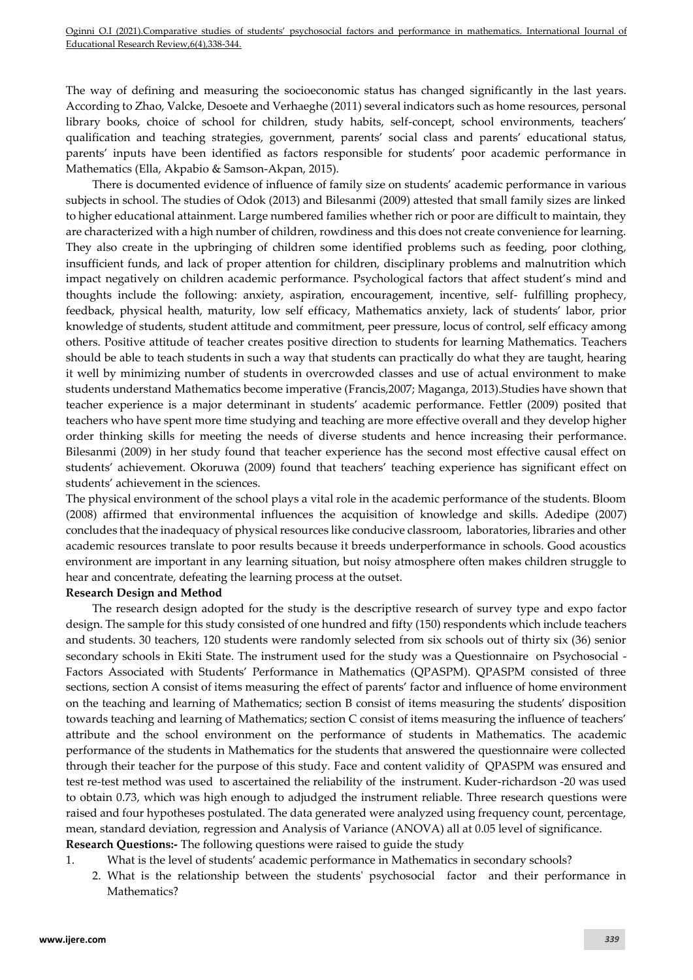Oginni O.I (2021).Comparative studies of students' psychosocial factors and performance in mathematics. International Journal of Educational Research Review,6(4),338-344.

The way of defining and measuring the socioeconomic status has changed significantly in the last years. According to Zhao, Valcke, Desoete and Verhaeghe (2011) several indicators such as home resources, personal library books, choice of school for children, study habits, self-concept, school environments, teachers' qualification and teaching strategies, government, parents' social class and parents' educational status, parents' inputs have been identified as factors responsible for students' poor academic performance in Mathematics (Ella, Akpabio & Samson-Akpan, 2015).

There is documented evidence of influence of family size on students' academic performance in various subjects in school. The studies of Odok (2013) and Bilesanmi (2009) attested that small family sizes are linked to higher educational attainment. Large numbered families whether rich or poor are difficult to maintain, they are characterized with a high number of children, rowdiness and this does not create convenience for learning. They also create in the upbringing of children some identified problems such as feeding, poor clothing, insufficient funds, and lack of proper attention for children, disciplinary problems and malnutrition which impact negatively on children academic performance. Psychological factors that affect student's mind and thoughts include the following: anxiety, aspiration, encouragement, incentive, self- fulfilling prophecy, feedback, physical health, maturity, low self efficacy, Mathematics anxiety, lack of students' labor, prior knowledge of students, student attitude and commitment, peer pressure, locus of control, self efficacy among others. Positive attitude of teacher creates positive direction to students for learning Mathematics. Teachers should be able to teach students in such a way that students can practically do what they are taught, hearing it well by minimizing number of students in overcrowded classes and use of actual environment to make students understand Mathematics become imperative (Francis,2007; Maganga, 2013).Studies have shown that teacher experience is a major determinant in students' academic performance. Fettler (2009) posited that teachers who have spent more time studying and teaching are more effective overall and they develop higher order thinking skills for meeting the needs of diverse students and hence increasing their performance. Bilesanmi (2009) in her study found that teacher experience has the second most effective causal effect on students' achievement. Okoruwa (2009) found that teachers' teaching experience has significant effect on students' achievement in the sciences.

The physical environment of the school plays a vital role in the academic performance of the students. Bloom (2008) affirmed that environmental influences the acquisition of knowledge and skills. Adedipe (2007) concludes that the inadequacy of physical resources like conducive classroom, laboratories, libraries and other academic resources translate to poor results because it breeds underperformance in schools. Good acoustics environment are important in any learning situation, but noisy atmosphere often makes children struggle to hear and concentrate, defeating the learning process at the outset.

#### **Research Design and Method**

The research design adopted for the study is the descriptive research of survey type and expo factor design. The sample for this study consisted of one hundred and fifty (150) respondents which include teachers and students. 30 teachers, 120 students were randomly selected from six schools out of thirty six (36) senior secondary schools in Ekiti State. The instrument used for the study was a Questionnaire on Psychosocial - Factors Associated with Students' Performance in Mathematics (QPASPM). QPASPM consisted of three sections, section A consist of items measuring the effect of parents' factor and influence of home environment on the teaching and learning of Mathematics; section B consist of items measuring the students' disposition towards teaching and learning of Mathematics; section C consist of items measuring the influence of teachers' attribute and the school environment on the performance of students in Mathematics. The academic performance of the students in Mathematics for the students that answered the questionnaire were collected through their teacher for the purpose of this study. Face and content validity of QPASPM was ensured and test re-test method was used to ascertained the reliability of the instrument. Kuder-richardson -20 was used to obtain 0.73, which was high enough to adjudged the instrument reliable. Three research questions were raised and four hypotheses postulated. The data generated were analyzed using frequency count, percentage, mean, standard deviation, regression and Analysis of Variance (ANOVA) all at 0.05 level of significance. **Research Questions:-** The following questions were raised to guide the study

- 1. What is the level of students' academic performance in Mathematics in secondary schools?
	- 2. What is the relationship between the students' psychosocial factor and their performance in Mathematics?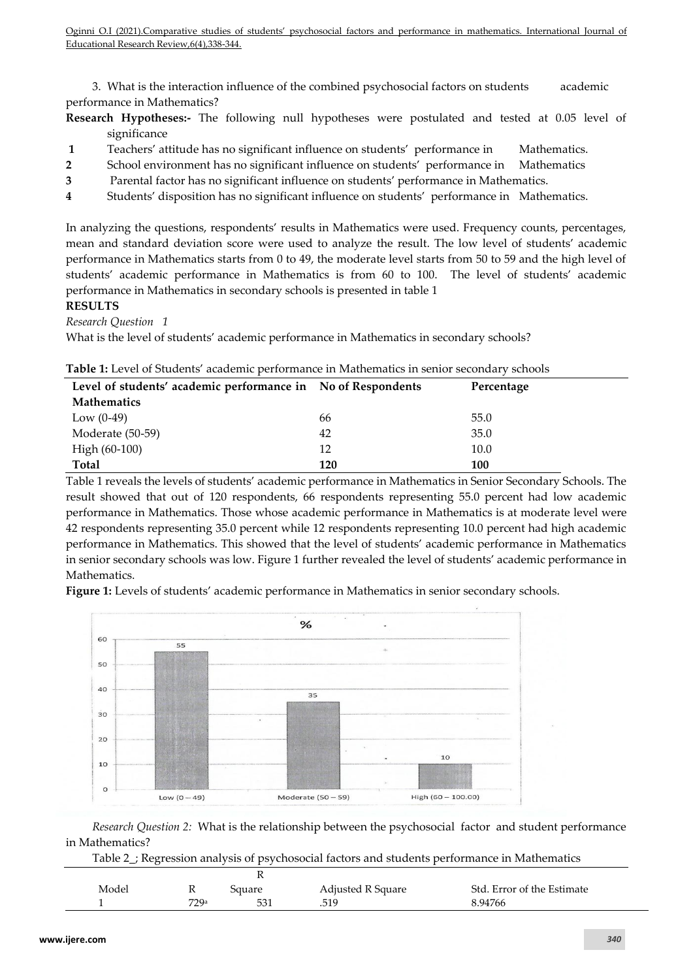3. What is the interaction influence of the combined psychosocial factors on students academic performance in Mathematics?

- **Research Hypotheses:-** The following null hypotheses were postulated and tested at 0.05 level of significance
- **1** Teachers' attitude has no significant influence on students' performance in Mathematics.
- **2** School environment has no significant influence on students' performance in Mathematics
- **3** Parental factor has no significant influence on students' performance in Mathematics.
- **4** Students' disposition has no significant influence on students' performance in Mathematics.

In analyzing the questions, respondents' results in Mathematics were used. Frequency counts, percentages, mean and standard deviation score were used to analyze the result. The low level of students' academic performance in Mathematics starts from 0 to 49, the moderate level starts from 50 to 59 and the high level of students' academic performance in Mathematics is from 60 to 100. The level of students' academic performance in Mathematics in secondary schools is presented in table 1

**RESULTS** 

*Research Question 1*

What is the level of students' academic performance in Mathematics in secondary schools?

| Level of students' academic performance in No of Respondents |     | Percentage |
|--------------------------------------------------------------|-----|------------|
| <b>Mathematics</b>                                           |     |            |
| Low $(0-49)$                                                 | 66  | 55.0       |
| Moderate (50-59)                                             | 42  | 35.0       |
| High (60-100)                                                | 12  | 10.0       |
| <b>Total</b>                                                 | 120 | 100        |

|  | <b>Table 1:</b> Level of Students' academic performance in Mathematics in senior secondary schools |  |
|--|----------------------------------------------------------------------------------------------------|--|
|--|----------------------------------------------------------------------------------------------------|--|

Table 1 reveals the levels of students' academic performance in Mathematics in Senior Secondary Schools. The result showed that out of 120 respondents, 66 respondents representing 55.0 percent had low academic performance in Mathematics. Those whose academic performance in Mathematics is at moderate level were 42 respondents representing 35.0 percent while 12 respondents representing 10.0 percent had high academic performance in Mathematics. This showed that the level of students' academic performance in Mathematics in senior secondary schools was low. Figure 1 further revealed the level of students' academic performance in Mathematics.

Figure 1: Levels of students' academic performance in Mathematics in senior secondary schools.



*Research Question 2:* What is the relationship between the psychosocial factor and student performance in Mathematics?

Table 2\_; Regression analysis of psychosocial factors and students performance in Mathematics

| Model | 17   | Square | Adjusted R Square | Std. Error of the Estimate |
|-------|------|--------|-------------------|----------------------------|
|       | 779a |        | .519              | 8.94766                    |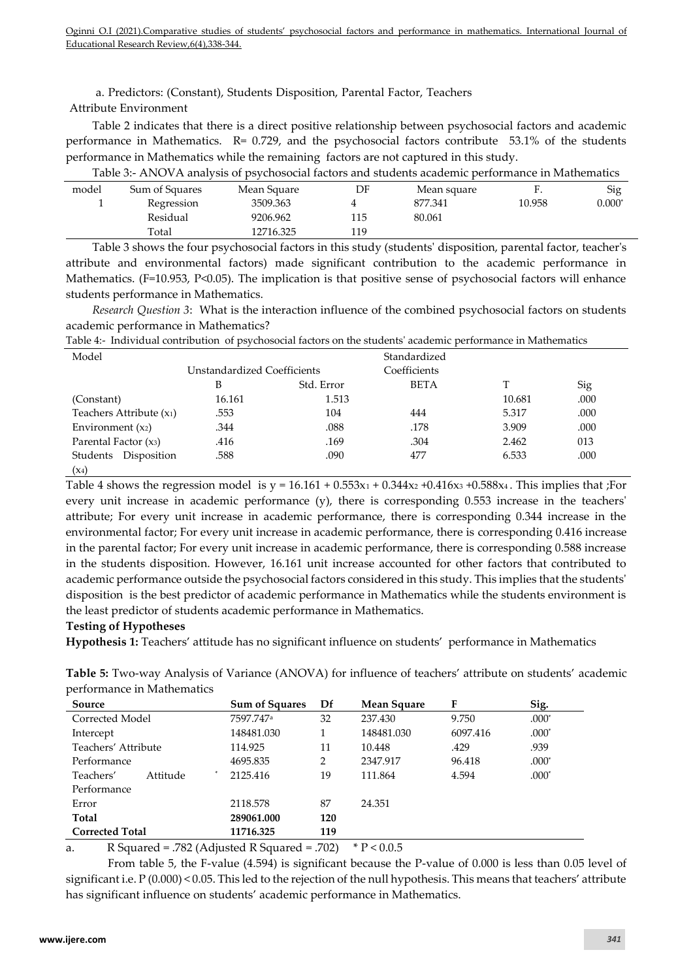a. Predictors: (Constant), Students Disposition, Parental Factor, Teachers Attribute Environment

Table 2 indicates that there is a direct positive relationship between psychosocial factors and academic performance in Mathematics. R= 0.729, and the psychosocial factors contribute 53.1% of the students performance in Mathematics while the remaining factors are not captured in this study.

| Table 3:- ANOVA analysis of psychosocial factors and students academic performance in Mathematics |                |             |     |             |        |          |
|---------------------------------------------------------------------------------------------------|----------------|-------------|-----|-------------|--------|----------|
| model                                                                                             | Sum of Squares | Mean Square | DF  | Mean square | F.     | Sig      |
|                                                                                                   | Regression     | 3509.363    |     | 877.341     | 10.958 | $0.000*$ |
|                                                                                                   | Residual       | 9206.962    | 115 | 80.061      |        |          |
|                                                                                                   | Total          | 12716.325   | 119 |             |        |          |

Table 3 shows the four psychosocial factors in this study (students' disposition, parental factor, teacher's attribute and environmental factors) made significant contribution to the academic performance in Mathematics. (F=10.953, P<0.05). The implication is that positive sense of psychosocial factors will enhance students performance in Mathematics.

*Research Question 3*: What is the interaction influence of the combined psychosocial factors on students academic performance in Mathematics?

|                                      | $\mathbf{1}$                |            |              |        |      |  |
|--------------------------------------|-----------------------------|------------|--------------|--------|------|--|
| Model                                |                             |            | Standardized |        |      |  |
|                                      | Unstandardized Coefficients |            | Coefficients |        |      |  |
|                                      | B                           | Std. Error | <b>BETA</b>  |        | Sig  |  |
| (Constant)                           | 16.161                      | 1.513      |              | 10.681 | .000 |  |
| Teachers Attribute (x <sub>1</sub> ) | .553                        | 104        | 444          | 5.317  | .000 |  |
| Environment $(x_2)$                  | .344                        | .088       | .178         | 3.909  | .000 |  |
| Parental Factor $(x_3)$              | .416                        | .169       | .304         | 2.462  | 013  |  |
| Disposition<br>Students              | .588                        | .090       | 477          | 6.533  | .000 |  |
| $(x_4)$                              |                             |            |              |        |      |  |

Table 4:- Individual contribution of psychosocial factors on the students' academic performance in Mathematics

Table 4 shows the regression model is  $y = 16.161 + 0.553x_1 + 0.344x_2 + 0.416x_3 + 0.588x_4$ . This implies that ;For every unit increase in academic performance (y), there is corresponding 0.553 increase in the teachers' attribute; For every unit increase in academic performance, there is corresponding 0.344 increase in the environmental factor; For every unit increase in academic performance, there is corresponding 0.416 increase in the parental factor; For every unit increase in academic performance, there is corresponding 0.588 increase in the students disposition. However, 16.161 unit increase accounted for other factors that contributed to academic performance outside the psychosocial factors considered in this study. This implies that the students' disposition is the best predictor of academic performance in Mathematics while the students environment is the least predictor of students academic performance in Mathematics.

# **Testing of Hypotheses**

**Hypothesis 1:** Teachers' attitude has no significant influence on students' performance in Mathematics

**Table 5:** Two-way Analysis of Variance (ANOVA) for influence of teachers' attribute on students' academic performance in Mathematics

| Source                 | <b>Sum of Squares</b> | Df  | Mean Square | F        | Sig.    |
|------------------------|-----------------------|-----|-------------|----------|---------|
| Corrected Model        | 7597.747 <sup>a</sup> | 32  | 237.430     | 9.750    | $.000*$ |
| Intercept              | 148481.030            |     | 148481.030  | 6097.416 | $.000*$ |
| Teachers' Attribute    | 114.925               | 11  | 10.448      | .429     | .939    |
| Performance            | 4695.835              | 2   | 2347.917    | 96.418   | $.000*$ |
| Teachers'<br>Attitude  | 2125.416              | 19  | 111.864     | 4.594    | $.000*$ |
| Performance            |                       |     |             |          |         |
| Error                  | 2118.578              | 87  | 24.351      |          |         |
| Total                  | 289061.000            | 120 |             |          |         |
| <b>Corrected Total</b> | 11716.325             | 119 |             |          |         |

a. R Squared = .782 (Adjusted R Squared = .702)  $* P < 0.0.5$ 

From table 5, the F-value (4.594) is significant because the P-value of 0.000 is less than 0.05 level of significant i.e. P (0.000) < 0.05. This led to the rejection of the null hypothesis. This means that teachers' attribute has significant influence on students' academic performance in Mathematics.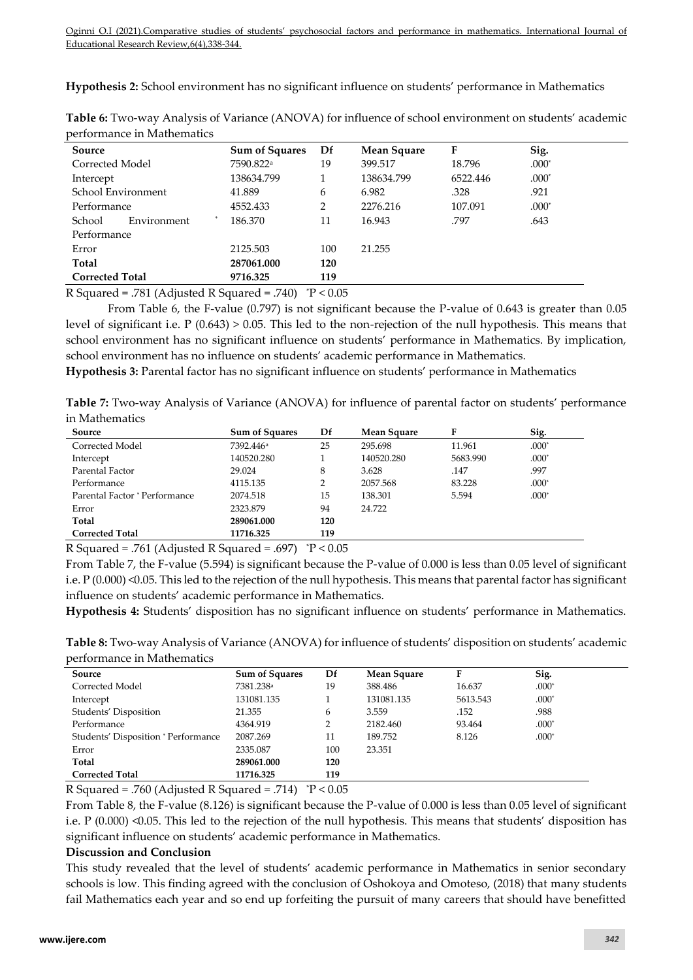**Hypothesis 2:** School environment has no significant influence on students' performance in Mathematics

| Source                 | <b>Sum of Squares</b> | Df  | Mean Square | F        | Sig.    |
|------------------------|-----------------------|-----|-------------|----------|---------|
| Corrected Model        | 7590.822 <sup>a</sup> | 19  | 399.517     | 18.796   | $.000*$ |
| Intercept              | 138634.799            |     | 138634.799  | 6522.446 | $.000*$ |
| School Environment     | 41.889                | 6   | 6.982       | .328     | .921    |
| Performance            | 4552.433              | 2   | 2276.216    | 107.091  | $.000*$ |
| Environment<br>School  | 186.370               | 11  | 16.943      | .797     | .643    |
| Performance            |                       |     |             |          |         |
| Error                  | 2125.503              | 100 | 21.255      |          |         |
| Total                  | 287061.000            | 120 |             |          |         |
| <b>Corrected Total</b> | 9716.325              | 119 |             |          |         |
|                        |                       |     |             |          |         |

**Table 6:** Two-way Analysis of Variance (ANOVA) for influence of school environment on students' academic performance in Mathematics

R Squared = .781 (Adjusted R Squared = .740)  $\degree$ P < 0.05

From Table 6, the F-value (0.797) is not significant because the P-value of 0.643 is greater than 0.05 level of significant i.e. P (0.643) > 0.05. This led to the non-rejection of the null hypothesis. This means that school environment has no significant influence on students' performance in Mathematics. By implication, school environment has no influence on students' academic performance in Mathematics.

**Hypothesis 3:** Parental factor has no significant influence on students' performance in Mathematics

**Table 7:** Two-way Analysis of Variance (ANOVA) for influence of parental factor on students' performance in Mathematics

| Source                                                            | <b>Sum of Squares</b>             | Df                          | <b>Mean Square</b> | F        | Sig.    |
|-------------------------------------------------------------------|-----------------------------------|-----------------------------|--------------------|----------|---------|
| Corrected Model                                                   | 7392.446 <sup>a</sup>             | 25                          | 295.698            | 11.961   | $.000*$ |
| Intercept                                                         | 140520.280                        |                             | 140520.280         | 5683.990 | $.000*$ |
| Parental Factor                                                   | 29.024                            | 8                           | 3.628              | .147     | .997    |
| Performance                                                       | 4115.135                          | 2                           | 2057.568           | 83.228   | $.000*$ |
| Parental Factor * Performance                                     | 2074.518                          | 15                          | 138.301            | 5.594    | $.000*$ |
| Error                                                             | 2323.879                          | 94                          | 24.722             |          |         |
| Total                                                             | 289061.000                        | 120                         |                    |          |         |
| <b>Corrected Total</b>                                            | 11716.325                         | 119                         |                    |          |         |
| $\mathbf{r}$<br>$\mathbf{r}$<br>$H \times A \times A$<br>$\cdots$ | п.<br>$\sim$ $\sim$ $\sim$ $\sim$ | $\sim$ $\sim$ $\sim$ $\sim$ |                    |          |         |

R Squared = .761 (Adjusted R Squared = .697)  $\degree$ P < 0.05

From Table 7, the F-value (5.594) is significant because the P-value of 0.000 is less than 0.05 level of significant i.e. P (0.000) <0.05. This led to the rejection of the null hypothesis. This means that parental factor has significant influence on students' academic performance in Mathematics.

**Hypothesis 4:** Students' disposition has no significant influence on students' performance in Mathematics.

**Table 8:** Two-way Analysis of Variance (ANOVA) for influence of students' disposition on students' academic performance in Mathematics

| Source                              | <b>Sum of Squares</b> | Df  | Mean Square | F        | Sig.    |
|-------------------------------------|-----------------------|-----|-------------|----------|---------|
| Corrected Model                     | 7381.238 <sup>a</sup> | 19  | 388.486     | 16.637   | $.000*$ |
| Intercept                           | 131081.135            |     | 131081.135  | 5613.543 | $.000*$ |
| Students' Disposition               | 21.355                | 6   | 3.559       | .152     | .988    |
| Performance                         | 4364.919              |     | 2182.460    | 93.464   | $.000*$ |
| Students' Disposition * Performance | 2087.269              | 11  | 189.752     | 8.126    | $.000*$ |
| Error                               | 2335.087              | 100 | 23.351      |          |         |
| Total                               | 289061.000            | 120 |             |          |         |
| <b>Corrected Total</b>              | 11716.325             | 119 |             |          |         |

R Squared = .760 (Adjusted R Squared = .714)  $\degree$ P < 0.05

From Table 8, the F-value (8.126) is significant because the P-value of 0.000 is less than 0.05 level of significant i.e.  $P(0.000)$  <0.05. This led to the rejection of the null hypothesis. This means that students' disposition has significant influence on students' academic performance in Mathematics.

## **Discussion and Conclusion**

This study revealed that the level of students' academic performance in Mathematics in senior secondary schools is low. This finding agreed with the conclusion of Oshokoya and Omoteso, (2018) that many students fail Mathematics each year and so end up forfeiting the pursuit of many careers that should have benefitted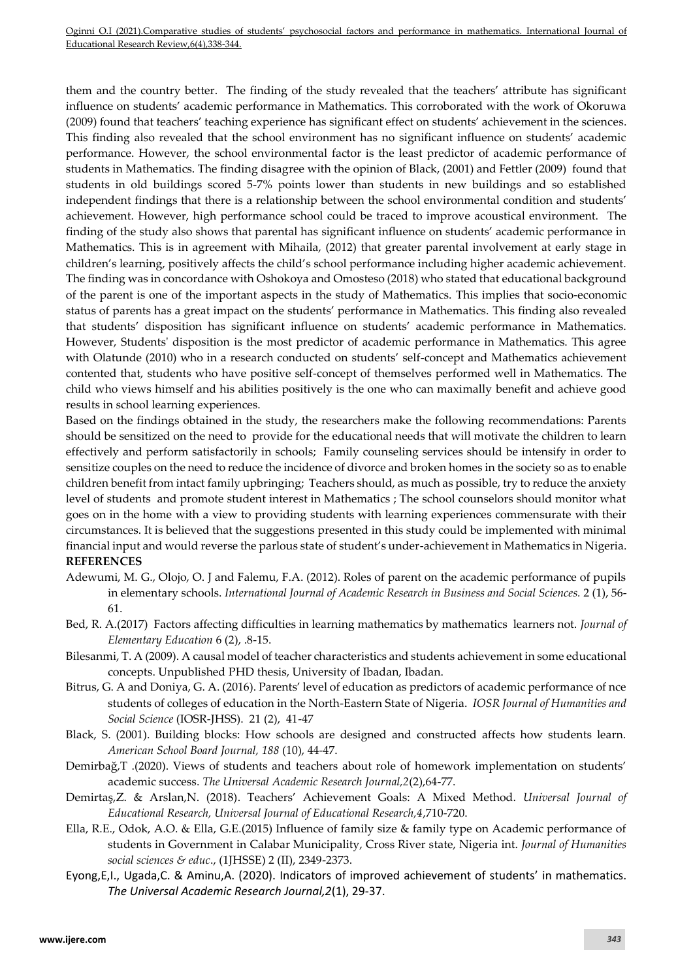them and the country better.The finding of the study revealed that the teachers' attribute has significant influence on students' academic performance in Mathematics. This corroborated with the work of Okoruwa (2009) found that teachers' teaching experience has significant effect on students' achievement in the sciences. This finding also revealed that the school environment has no significant influence on students' academic performance. However, the school environmental factor is the least predictor of academic performance of students in Mathematics. The finding disagree with the opinion of Black, (2001) and Fettler (2009) found that students in old buildings scored 5-7% points lower than students in new buildings and so established independent findings that there is a relationship between the school environmental condition and students' achievement. However, high performance school could be traced to improve acoustical environment. The finding of the study also shows that parental has significant influence on students' academic performance in Mathematics. This is in agreement with Mihaila, (2012) that greater parental involvement at early stage in children's learning, positively affects the child's school performance including higher academic achievement. The finding was in concordance with Oshokoya and Omosteso (2018) who stated that educational background of the parent is one of the important aspects in the study of Mathematics. This implies that socio-economic status of parents has a great impact on the students' performance in Mathematics. This finding also revealed that students' disposition has significant influence on students' academic performance in Mathematics. However, Students' disposition is the most predictor of academic performance in Mathematics. This agree with Olatunde (2010) who in a research conducted on students' self-concept and Mathematics achievement contented that, students who have positive self-concept of themselves performed well in Mathematics. The child who views himself and his abilities positively is the one who can maximally benefit and achieve good results in school learning experiences.

Based on the findings obtained in the study, the researchers make the following recommendations: Parents should be sensitized on the need to provide for the educational needs that will motivate the children to learn effectively and perform satisfactorily in schools; Family counseling services should be intensify in order to sensitize couples on the need to reduce the incidence of divorce and broken homes in the society so as to enable children benefit from intact family upbringing; Teachers should, as much as possible, try to reduce the anxiety level of students and promote student interest in Mathematics ; The school counselors should monitor what goes on in the home with a view to providing students with learning experiences commensurate with their circumstances. It is believed that the suggestions presented in this study could be implemented with minimal financial input and would reverse the parlous state of student's under-achievement in Mathematics in Nigeria. **REFERENCES** 

- Adewumi, M. G., Olojo, O. J and Falemu, F.A. (2012). Roles of parent on the academic performance of pupils in elementary schools. *International Journal of Academic Research in Business and Social Sciences.* 2 (1), 56- 61.
- Bed, R. A.(2017) Factors affecting difficulties in learning mathematics by mathematics learners not. *Journal of Elementary Education* 6 (2), .8-15.
- Bilesanmi, T. A (2009). A causal model of teacher characteristics and students achievement in some educational concepts. Unpublished PHD thesis, University of Ibadan, Ibadan.
- Bitrus, G. A and Doniya, G. A. (2016). Parents' level of education as predictors of academic performance of nce students of colleges of education in the North-Eastern State of Nigeria. *IOSR Journal of Humanities and Social Science* (IOSR-JHSS). 21 (2), 41-47
- Black, S. (2001). Building blocks: How schools are designed and constructed affects how students learn. *American School Board Journal, 188* (10), 44-47.
- Demirbağ,T .(2020). Views of students and teachers about role of homework implementation on students' academic success. *The Universal Academic Research Journal,2*(2),64-77.
- Demirtaş,Z. & Arslan,N. (2018). Teachers' Achievement Goals: A Mixed Method. *Universal Journal of Educational Research, Universal Journal of Educational Research,4*,710-720.
- Ella, R.E., Odok, A.O. & Ella, G.E.(2015) Influence of family size & family type on Academic performance of students in Government in Calabar Municipality, Cross River state, Nigeria int. *Journal of Humanities social sciences & educ*., (1JHSSE) 2 (II), 2349-2373.
- Eyong,E,I., Ugada,C. & Aminu,A. (2020). Indicators of improved achievement of students' in mathematics. *The Universal Academic Research Journal,2*(1), 29-37.